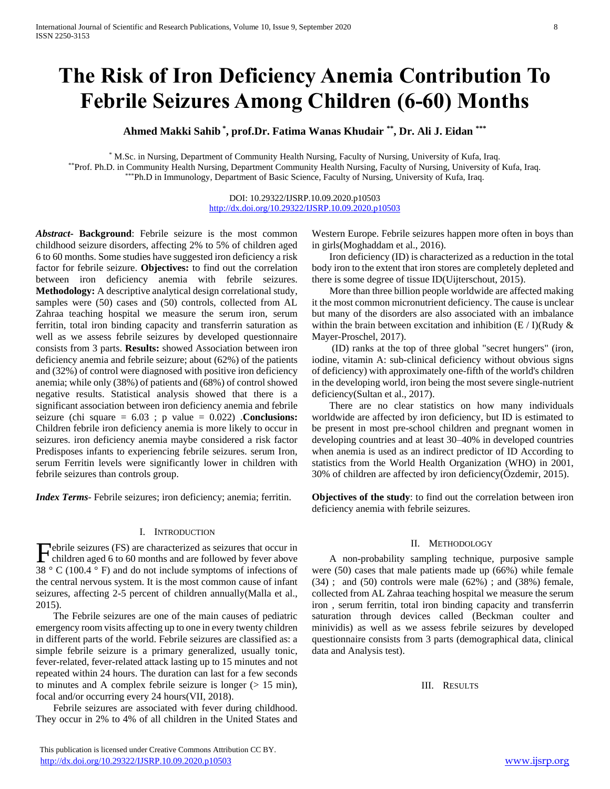# **The Risk of Iron Deficiency Anemia Contribution To Febrile Seizures Among Children (6-60) Months**

**Ahmed Makki Sahib \* , prof.Dr. Fatima Wanas Khudair \*\*, Dr. Ali J. Eidan \*\*\***

\* M.Sc. in Nursing, Department of Community Health Nursing, Faculty of Nursing, University of Kufa, Iraq. \*\*Prof. Ph.D. in Community Health Nursing, Department Community Health Nursing, Faculty of Nursing, University of Kufa, Iraq. \*Ph.D in Immunology, Department of Basic Science, Faculty of Nursing, University of Kufa, Iraq.

> DOI: 10.29322/IJSRP.10.09.2020.p10503 <http://dx.doi.org/10.29322/IJSRP.10.09.2020.p10503>

*Abstract***- Background**: Febrile seizure is the most common childhood seizure disorders, affecting 2% to 5% of children aged 6 to 60 months. Some studies have suggested iron deficiency a risk factor for febrile seizure. **Objectives:** to find out the correlation between iron deficiency anemia with febrile seizures. **Methodology:** A descriptive analytical design correlational study, samples were (50) cases and (50) controls, collected from AL Zahraa teaching hospital we measure the serum iron, serum ferritin, total iron binding capacity and transferrin saturation as well as we assess febrile seizures by developed questionnaire consists from 3 parts. **Results:** showed Association between iron deficiency anemia and febrile seizure; about (62%) of the patients and (32%) of control were diagnosed with positive iron deficiency anemia; while only (38%) of patients and (68%) of control showed negative results. Statistical analysis showed that there is a significant association between iron deficiency anemia and febrile seizure (chi square = 6.03 ; p value = 0.022) .**Conclusions:** Children febrile iron deficiency anemia is more likely to occur in seizures. iron deficiency anemia maybe considered a risk factor Predisposes infants to experiencing febrile seizures. serum Iron, serum Ferritin levels were significantly lower in children with febrile seizures than controls group.

*Index Terms*- Febrile seizures; iron deficiency; anemia; ferritin.

## I. INTRODUCTION

ebrile seizures (FS) are characterized as seizures that occur in Febrile seizures (FS) are characterized as seizures that occur in<br>children aged 6 to 60 months and are followed by fever above 38  $\degree$  C (100.4  $\degree$  F) and do not include symptoms of infections of the central nervous system. It is the most common cause of infant seizures, affecting 2-5 percent of children annually(Malla et al., 2015).

 The Febrile seizures are one of the main causes of pediatric emergency room visits affecting up to one in every twenty children in different parts of the world. Febrile seizures are classified as: a simple febrile seizure is a primary generalized, usually tonic, fever-related, fever-related attack lasting up to 15 minutes and not repeated within 24 hours. The duration can last for a few seconds to minutes and A complex febrile seizure is longer  $(> 15 \text{ min})$ , focal and/or occurring every 24 hours(VII, 2018).

 Febrile seizures are associated with fever during childhood. They occur in 2% to 4% of all children in the United States and Western Europe. Febrile seizures happen more often in boys than in girls(Moghaddam et al., 2016).

 Iron deficiency (ID) is characterized as a reduction in the total body iron to the extent that iron stores are completely depleted and there is some degree of tissue ID(Uijterschout, 2015).

 More than three billion people worldwide are affected making it the most common micronutrient deficiency. The cause is unclear but many of the disorders are also associated with an imbalance within the brain between excitation and inhibition  $(E / I)(Rudy &$ Mayer-Proschel, 2017).

 (ID) ranks at the top of three global "secret hungers" (iron, iodine, vitamin A: sub-clinical deficiency without obvious signs of deficiency) with approximately one-fifth of the world's children in the developing world, iron being the most severe single-nutrient deficiency(Sultan et al., 2017).

 There are no clear statistics on how many individuals worldwide are affected by iron deficiency, but ID is estimated to be present in most pre-school children and pregnant women in developing countries and at least 30–40% in developed countries when anemia is used as an indirect predictor of ID According to statistics from the World Health Organization (WHO) in 2001, 30% of children are affected by iron deficiency(Özdemir, 2015).

**Objectives of the study**: to find out the correlation between iron deficiency anemia with febrile seizures.

#### II. METHODOLOGY

 A non-probability sampling technique, purposive sample were (50) cases that male patients made up (66%) while female  $(34)$ ; and  $(50)$  controls were male  $(62%)$ ; and  $(38%)$  female, collected from AL Zahraa teaching hospital we measure the serum iron , serum ferritin, total iron binding capacity and transferrin saturation through devices called (Beckman coulter and minividis) as well as we assess febrile seizures by developed questionnaire consists from 3 parts (demographical data, clinical data and Analysis test).

III. RESULTS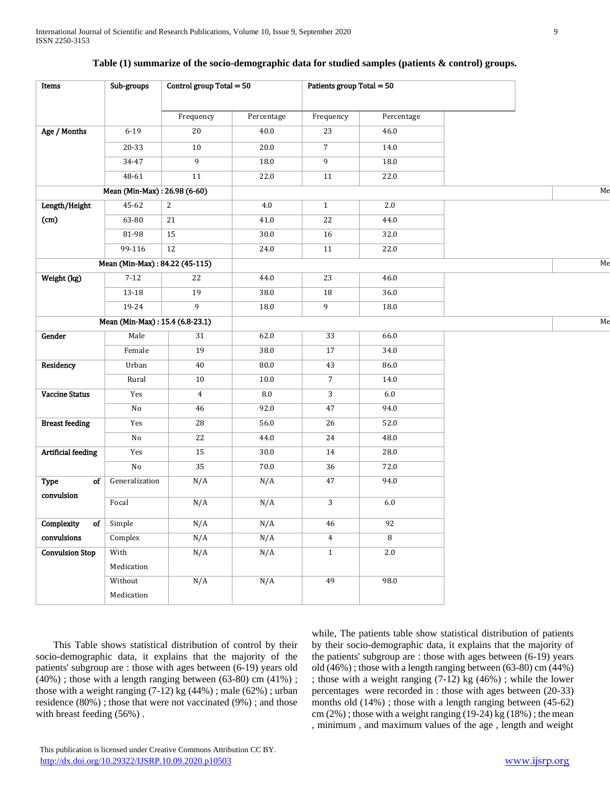| Control group Total $= 50$<br>Sub-groups<br>Patients group Total = 50 |
|-----------------------------------------------------------------------|
| Frequency<br>Percentage<br>Frequency<br>Percentage                    |
| $6 - 19$<br>20<br>$40.0\,$<br>23<br>46.0                              |
| $10$<br>20.0<br>7 <sup>7</sup><br>14.0<br>$20 - 33$                   |
| $34 - 47$<br>9<br>$\overline{9}$<br>18.0<br>18.0                      |
| 48-61<br>11<br>22.0<br>11<br>22.0                                     |
| Mean (Min-Max): 26.98 (6-60)                                          |
| 45-62<br>2.0<br>2<br>4.0<br>$\mathbf{1}$                              |
| 63-80<br>21<br>$41.0\,$<br>22<br>44.0                                 |
| 81-98<br>15<br>$30.0\,$<br>16<br>32.0                                 |
| $\overline{12}$<br>99-116<br>24.0<br>11<br>22.0                       |
| Mean (Min-Max): 84.22 (45-115)                                        |
| $7-12$<br>22<br>44.0<br>23<br>46.0                                    |
| $13-18$<br>19<br>38.0<br>18<br>36.0                                   |
| 9<br>19-24<br>9<br>18.0<br>18.0                                       |
| Mean (Min-Max): 15.4 (6.8-23.1)                                       |
| Male<br>31<br>62.0<br>33<br>66.0                                      |
| 19<br>38.0<br>$\overline{17}$<br>34.0<br>Female                       |
| Urban<br>40<br>$80.0\,$<br>43<br>86.0                                 |
| $\overline{7}$<br>Rural<br>10<br>$10.0\,$<br>14.0                     |
| Yes<br>$\ \, 8.0$<br>3<br>$6.0\,$<br>$\overline{4}$                   |
| 46<br>92.0<br>47<br>$\rm No$<br>94.0                                  |
| Yes<br>28<br>56.0<br>26<br>52.0                                       |
| 22<br>$\rm No$<br>44.0<br>24<br>48.0                                  |
| <b>Artificial feeding</b><br>15<br>28.0<br>Yes<br>$30.0\,$<br>14      |
| 35<br>No<br>70.0<br>36<br>72.0                                        |
| of<br>Generalization<br>N/A<br>N/A<br>47<br>94.0                      |
| $\mathbf{3}$<br>Focal<br>N/A<br>N/A<br>$6.0\,$                        |
| N/A<br>N/A<br>92<br>$of$ Simple<br>46                                 |
| $\overline{8}$<br>Complex<br>N/A<br>N/A<br>$\overline{4}$             |
| <b>Convulsion Stop</b><br>2.0<br>With<br>N/A<br>N/A<br>$\mathbf{1}$   |
| Medication                                                            |
| N/A<br>N/A<br>49<br>98.0<br>Without                                   |
| Medication                                                            |

## **Table (1) summarize of the socio-demographic data for studied samples (patients & control) groups.**

 This Table shows statistical distribution of control by their socio-demographic data, it explains that the majority of the patients' subgroup are : those with ages between (6-19) years old (40%) ; those with a length ranging between (63-80) cm (41%) ; those with a weight ranging  $(7-12)$  kg  $(44%)$ ; male  $(62%)$ ; urban residence (80%) ; those that were not vaccinated (9%) ; and those with breast feeding (56%) .

while, The patients table show statistical distribution of patients by their socio-demographic data, it explains that the majority of the patients' subgroup are : those with ages between (6-19) years old (46%) ; those with a length ranging between (63-80) cm (44%) ; those with a weight ranging (7-12) kg (46%) ; while the lower percentages were recorded in : those with ages between (20-33) months old  $(14%)$ ; those with a length ranging between  $(45-62)$  $cm (2\%)$ ; those with a weight ranging (19-24) kg (18%); the mean , minimum , and maximum values of the age , length and weight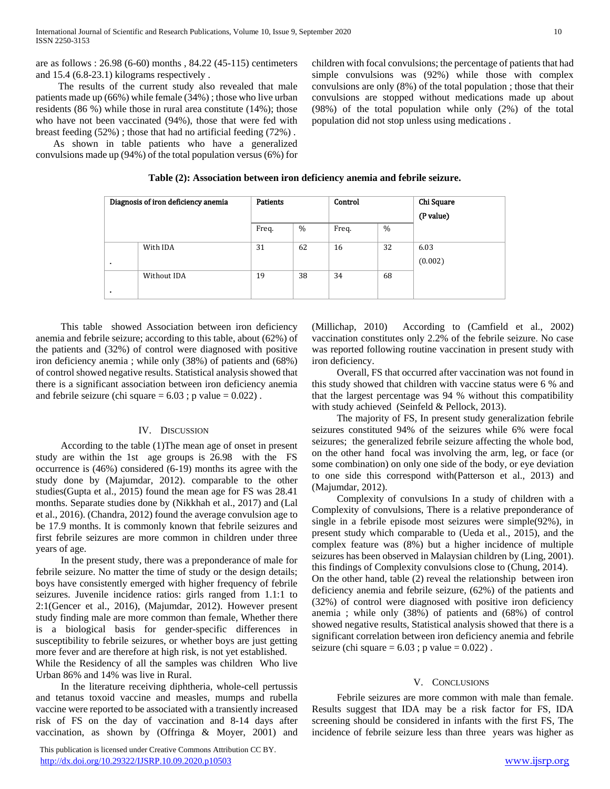are as follows : 26.98 (6-60) months , 84.22 (45-115) centimeters and 15.4 (6.8-23.1) kilograms respectively .

 The results of the current study also revealed that male patients made up (66%) while female (34%) ; those who live urban residents (86 %) while those in rural area constitute (14%); those who have not been vaccinated (94%), those that were fed with breast feeding (52%) ; those that had no artificial feeding (72%) .

 As shown in table patients who have a generalized convulsions made up (94%) of the total population versus (6%) for children with focal convulsions; the percentage of patients that had simple convulsions was (92%) while those with complex convulsions are only (8%) of the total population ; those that their convulsions are stopped without medications made up about (98%) of the total population while only (2%) of the total population did not stop unless using medications .

| Diagnosis of iron deficiency anemia |             | <b>Patients</b> |               | Control |      | Chi Square |
|-------------------------------------|-------------|-----------------|---------------|---------|------|------------|
|                                     |             |                 |               |         |      | (P value)  |
|                                     |             | Freq.           | $\frac{0}{0}$ | Freq.   | $\%$ |            |
|                                     | With IDA    | 31              | 62            | 16      | 32   | 6.03       |
| ٠                                   |             |                 |               |         |      | (0.002)    |
|                                     | Without IDA | 19              | 38            | 34      | 68   |            |
|                                     |             |                 |               |         |      |            |

 This table showed Association between iron deficiency anemia and febrile seizure; according to this table, about (62%) of the patients and (32%) of control were diagnosed with positive iron deficiency anemia ; while only (38%) of patients and (68%) of control showed negative results. Statistical analysis showed that there is a significant association between iron deficiency anemia and febrile seizure (chi square  $= 6.03$ ; p value  $= 0.022$ ).

## IV. DISCUSSION

 According to the table (1)The mean age of onset in present study are within the 1st age groups is 26.98 with the FS occurrence is (46%) considered (6-19) months its agree with the study done by (Majumdar, 2012). comparable to the other studies(Gupta et al., 2015) found the mean age for FS was 28.41 months. Separate studies done by (Nikkhah et al., 2017) and (Lal et al., 2016). (Chandra, 2012) found the average convulsion age to be 17.9 months. It is commonly known that febrile seizures and first febrile seizures are more common in children under three years of age.

 In the present study, there was a preponderance of male for febrile seizure. No matter the time of study or the design details; boys have consistently emerged with higher frequency of febrile seizures. Juvenile incidence ratios: girls ranged from 1.1:1 to 2:1(Gencer et al., 2016), (Majumdar, 2012). However present study finding male are more common than female, Whether there is a biological basis for gender-specific differences in susceptibility to febrile seizures, or whether boys are just getting more fever and are therefore at high risk, is not yet established. While the Residency of all the samples was children Who live

Urban 86% and 14% was live in Rural. In the literature receiving diphtheria, whole-cell pertussis

and tetanus toxoid vaccine and measles, mumps and rubella vaccine were reported to be associated with a transiently increased risk of FS on the day of vaccination and 8-14 days after vaccination, as shown by (Offringa & Moyer, 2001) and

 This publication is licensed under Creative Commons Attribution CC BY. <http://dx.doi.org/10.29322/IJSRP.10.09.2020.p10503> [www.ijsrp.org](http://ijsrp.org/)

(Millichap, 2010) According to (Camfield et al., 2002) vaccination constitutes only 2.2% of the febrile seizure. No case was reported following routine vaccination in present study with iron deficiency.

 Overall, FS that occurred after vaccination was not found in this study showed that children with vaccine status were 6 % and that the largest percentage was 94 % without this compatibility with study achieved (Seinfeld & Pellock, 2013).

 The majority of FS, In present study generalization febrile seizures constituted 94% of the seizures while 6% were focal seizures; the generalized febrile seizure affecting the whole bod, on the other hand focal was involving the arm, leg, or face (or some combination) on only one side of the body, or eye deviation to one side this correspond with(Patterson et al., 2013) and (Majumdar, 2012).

 Complexity of convulsions In a study of children with a Complexity of convulsions, There is a relative preponderance of single in a febrile episode most seizures were simple(92%), in present study which comparable to (Ueda et al., 2015), and the complex feature was (8%) but a higher incidence of multiple seizures has been observed in Malaysian children by (Ling, 2001). this findings of Complexity convulsions close to (Chung, 2014). On the other hand, table (2) reveal the relationship between iron deficiency anemia and febrile seizure, (62%) of the patients and (32%) of control were diagnosed with positive iron deficiency anemia ; while only (38%) of patients and (68%) of control showed negative results, Statistical analysis showed that there is a significant correlation between iron deficiency anemia and febrile seizure (chi square  $= 6.03$ ; p value  $= 0.022$ ).

### V. CONCLUSIONS

 Febrile seizures are more common with male than female. Results suggest that IDA may be a risk factor for FS, IDA screening should be considered in infants with the first FS, The incidence of febrile seizure less than three years was higher as